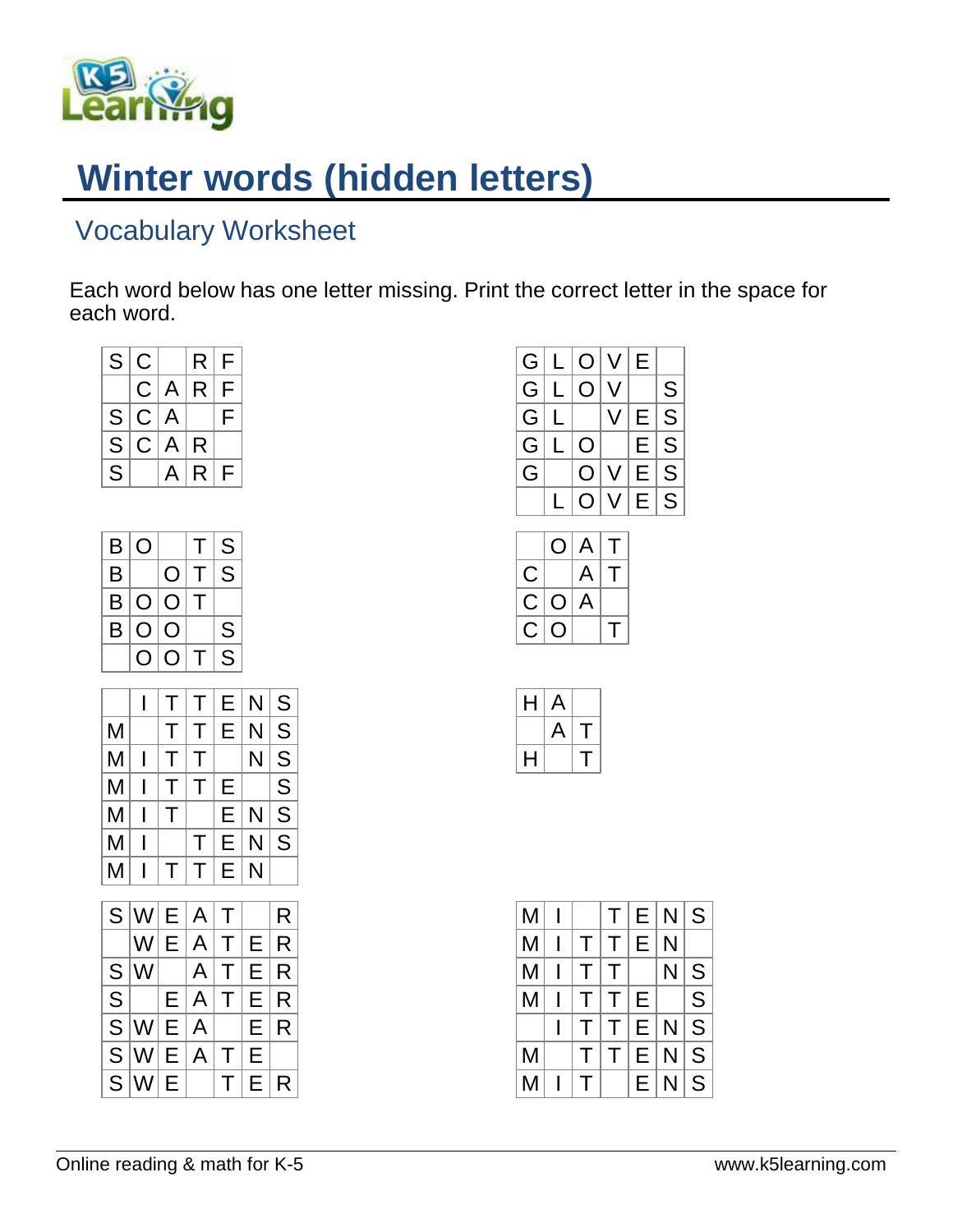

## **Winter words (hidden letters)**

## Vocabulary Worksheet

Each word below has one letter missing. Print the correct letter in the space for each word.

| $rac{C}{C}$<br>F<br>R<br>A<br>$\overline{\mathsf{F}}$<br>S<br>A<br>$\overline{\mathsf{S}}$<br>C<br>A<br>R<br>$\overline{\mathsf{s}}$<br>A<br>R<br>F<br>S<br>B<br>T<br>O<br>B<br>S<br>Τ<br>O<br>$\bigcirc$<br>B<br>Τ<br>$\bigcirc$<br>$\overline{\mathsf{O}}$<br>B<br>S<br>O<br>S<br>Τ<br>O<br>O<br>I<br>N<br>Τ<br>Ε<br>T<br>N<br>M<br>Τ<br>Τ<br>Е<br>M<br>N<br>I<br>Τ<br>Τ<br>M<br>I<br>Т<br>E<br>Τ<br>M<br>N<br>I<br>Т<br>E<br>M<br>N<br>I<br>Τ<br>E<br>M<br>N<br>I<br>Τ<br>Τ<br>E<br>S<br>A<br>W<br>T<br>Ε<br>W<br>A<br>T<br>Е<br>Ε<br>$S\overline{S}$ $S\overline{S}$<br>A<br>W<br>Τ<br>Е<br>A<br>E<br>Τ<br>E<br>A<br>E<br>W<br>E<br>W<br>A<br>E<br>E<br>T<br>W<br>E<br>T<br>E | S |  | R | F |  |
|-----------------------------------------------------------------------------------------------------------------------------------------------------------------------------------------------------------------------------------------------------------------------------------------------------------------------------------------------------------------------------------------------------------------------------------------------------------------------------------------------------------------------------------------------------------------------------------------------------------------------------------------------------------------------------------|---|--|---|---|--|
| S<br>$\overline{\mathsf{S}}$<br>$\overline{\mathsf{S}}$<br>$\overline{\mathsf{S}}$<br>$\overline{\mathsf{s}}$<br>S<br>R<br>R<br>R<br>R<br>R<br>R                                                                                                                                                                                                                                                                                                                                                                                                                                                                                                                                  |   |  |   |   |  |
|                                                                                                                                                                                                                                                                                                                                                                                                                                                                                                                                                                                                                                                                                   |   |  |   |   |  |
|                                                                                                                                                                                                                                                                                                                                                                                                                                                                                                                                                                                                                                                                                   |   |  |   |   |  |
|                                                                                                                                                                                                                                                                                                                                                                                                                                                                                                                                                                                                                                                                                   |   |  |   |   |  |
|                                                                                                                                                                                                                                                                                                                                                                                                                                                                                                                                                                                                                                                                                   |   |  |   |   |  |
|                                                                                                                                                                                                                                                                                                                                                                                                                                                                                                                                                                                                                                                                                   |   |  |   |   |  |
|                                                                                                                                                                                                                                                                                                                                                                                                                                                                                                                                                                                                                                                                                   |   |  |   |   |  |
|                                                                                                                                                                                                                                                                                                                                                                                                                                                                                                                                                                                                                                                                                   |   |  |   |   |  |
|                                                                                                                                                                                                                                                                                                                                                                                                                                                                                                                                                                                                                                                                                   |   |  |   |   |  |
|                                                                                                                                                                                                                                                                                                                                                                                                                                                                                                                                                                                                                                                                                   |   |  |   |   |  |
|                                                                                                                                                                                                                                                                                                                                                                                                                                                                                                                                                                                                                                                                                   |   |  |   |   |  |
|                                                                                                                                                                                                                                                                                                                                                                                                                                                                                                                                                                                                                                                                                   |   |  |   |   |  |
|                                                                                                                                                                                                                                                                                                                                                                                                                                                                                                                                                                                                                                                                                   |   |  |   |   |  |
|                                                                                                                                                                                                                                                                                                                                                                                                                                                                                                                                                                                                                                                                                   |   |  |   |   |  |
|                                                                                                                                                                                                                                                                                                                                                                                                                                                                                                                                                                                                                                                                                   |   |  |   |   |  |
|                                                                                                                                                                                                                                                                                                                                                                                                                                                                                                                                                                                                                                                                                   |   |  |   |   |  |
|                                                                                                                                                                                                                                                                                                                                                                                                                                                                                                                                                                                                                                                                                   |   |  |   |   |  |
|                                                                                                                                                                                                                                                                                                                                                                                                                                                                                                                                                                                                                                                                                   |   |  |   |   |  |
|                                                                                                                                                                                                                                                                                                                                                                                                                                                                                                                                                                                                                                                                                   |   |  |   |   |  |
|                                                                                                                                                                                                                                                                                                                                                                                                                                                                                                                                                                                                                                                                                   |   |  |   |   |  |
|                                                                                                                                                                                                                                                                                                                                                                                                                                                                                                                                                                                                                                                                                   |   |  |   |   |  |
|                                                                                                                                                                                                                                                                                                                                                                                                                                                                                                                                                                                                                                                                                   |   |  |   |   |  |
|                                                                                                                                                                                                                                                                                                                                                                                                                                                                                                                                                                                                                                                                                   |   |  |   |   |  |
|                                                                                                                                                                                                                                                                                                                                                                                                                                                                                                                                                                                                                                                                                   |   |  |   |   |  |
|                                                                                                                                                                                                                                                                                                                                                                                                                                                                                                                                                                                                                                                                                   |   |  |   |   |  |
|                                                                                                                                                                                                                                                                                                                                                                                                                                                                                                                                                                                                                                                                                   |   |  |   |   |  |
|                                                                                                                                                                                                                                                                                                                                                                                                                                                                                                                                                                                                                                                                                   |   |  |   |   |  |



| H | $\mathsf{A}$ |  |
|---|--------------|--|
|   | A            |  |
| H |              |  |

| M |   |          |        | T E N S |     |              |
|---|---|----------|--------|---------|-----|--------------|
| M |   | T        |        | Е       | N   |              |
| M |   | T.       | $\top$ |         | N   | S            |
| M |   | T.       | T.     | E.      |     | S            |
|   | I |          | $\top$ |         | E N | $\mathsf{S}$ |
| M |   |          | T.     | E N     |     | S            |
| M |   | $\Gamma$ |        | E       | N   | S            |